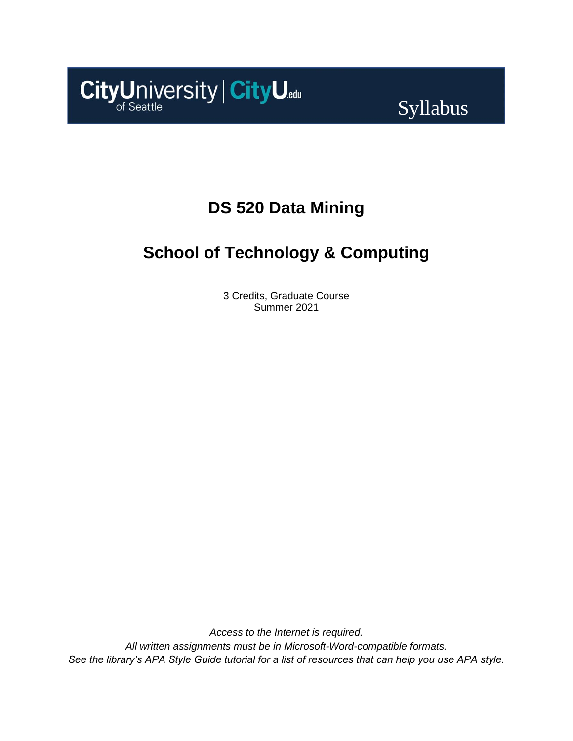

# Syllabus

# **DS 520 Data Mining**

# **School of Technology & Computing**

3 Credits, Graduate Course Summer 2021

*Access to the Internet is required. All written assignments must be in Microsoft-Word-compatible formats. See the library's APA Style Guide tutorial for a list of resources that can help you use APA style.*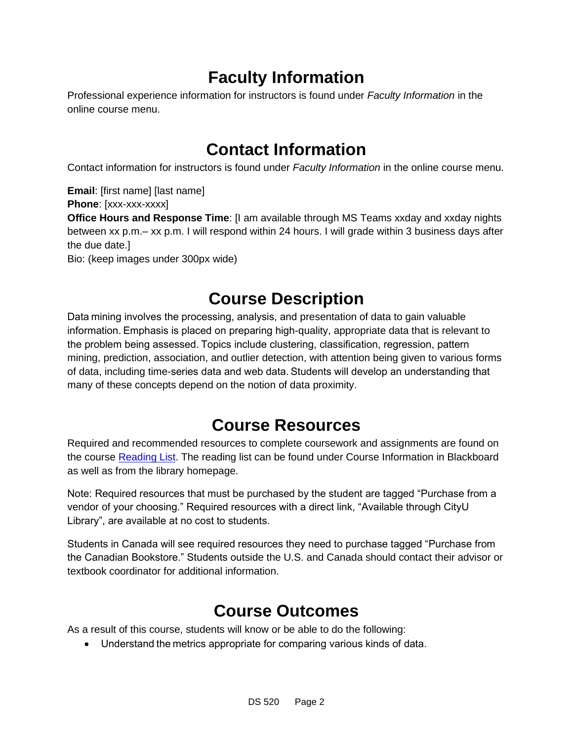# **Faculty Information**

Professional experience information for instructors is found under *Faculty Information* in the online course menu.

# **Contact Information**

Contact information for instructors is found under *Faculty Information* in the online course menu.

**Email**: [first name] [last name] **Phone**: [xxx-xxx-xxxx] **Office Hours and Response Time**: [I am available through MS Teams xxday and xxday nights between xx p.m.– xx p.m. I will respond within 24 hours. I will grade within 3 business days after the due date.] Bio: (keep images under 300px wide)

## **Course Description**

Data mining involves the processing, analysis, and presentation of data to gain valuable information. Emphasis is placed on preparing high-quality, appropriate data that is relevant to the problem being assessed. Topics include clustering, classification, regression, pattern mining, prediction, association, and outlier detection, with attention being given to various forms of data, including time-series data and web data. Students will develop an understanding that many of these concepts depend on the notion of data proximity.

## **Course Resources**

Required and recommended resources to complete coursework and assignments are found on the course [Reading List.](https://nam11.safelinks.protection.outlook.com/?url=https%3A%2F%2Fcityu.alma.exlibrisgroup.com%2Fleganto%2Flogin%3Fauth%3DSAML&data=04%7C01%7Cmaengjooyol%40cityu.edu%7Ce83102e3b3cd44013e6f08d90c4e2657%7Cb3fa96d9f5154662add763d854e39e63%7C1%7C0%7C637554352055408227%7CUnknown%7CTWFpbGZsb3d8eyJWIjoiMC4wLjAwMDAiLCJQIjoiV2luMzIiLCJBTiI6Ik1haWwiLCJXVCI6Mn0%3D%7C1000&sdata=lasUAAFxMgOCHkEaJx65s%2BAIYF8Tg3Yyvx00iLoLQiM%3D&reserved=0) The reading list can be found under Course Information in Blackboard as well as from the library homepage.

Note: Required resources that must be purchased by the student are tagged "Purchase from a vendor of your choosing." Required resources with a direct link, "Available through CityU Library", are available at no cost to students.

Students in Canada will see required resources they need to purchase tagged "Purchase from the Canadian Bookstore." Students outside the U.S. and Canada should contact their advisor or textbook coordinator for additional information.

## **Course Outcomes**

As a result of this course, students will know or be able to do the following:

• Understand the metrics appropriate for comparing various kinds of data.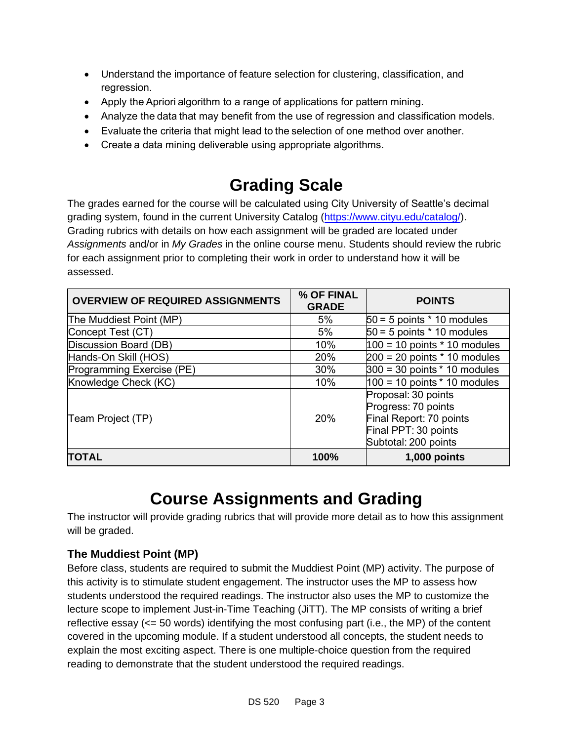- Understand the importance of feature selection for clustering, classification, and regression.
- Apply the Apriori algorithm to a range of applications for pattern mining.
- Analyze the data that may benefit from the use of regression and classification models.
- Evaluate the criteria that might lead to the selection of one method over another.
- Create a data mining deliverable using appropriate algorithms.

# **Grading Scale**

The grades earned for the course will be calculated using City University of Seattle's decimal grading system, found in the current University Catalog [\(https://www.cityu.edu/catalog/\)](https://www.cityu.edu/catalog/). Grading rubrics with details on how each assignment will be graded are located under *Assignments* and/or in *My Grades* in the online course menu. Students should review the rubric for each assignment prior to completing their work in order to understand how it will be assessed.

| <b>OVERVIEW OF REQUIRED ASSIGNMENTS</b> | % OF FINAL<br><b>GRADE</b> | <b>POINTS</b>                                                                                                         |
|-----------------------------------------|----------------------------|-----------------------------------------------------------------------------------------------------------------------|
| The Muddiest Point (MP)                 | 5%                         | $50 = 5$ points $*$ 10 modules                                                                                        |
| Concept Test (CT)                       | 5%                         | $50 = 5$ points $*$ 10 modules                                                                                        |
| Discussion Board (DB)                   | 10%                        | $100 = 10$ points $*$ 10 modules                                                                                      |
| Hands-On Skill (HOS)                    | 20%                        | $200 = 20$ points $*$ 10 modules                                                                                      |
| Programming Exercise (PE)               | 30%                        | $300 = 30$ points $*$ 10 modules                                                                                      |
| Knowledge Check (KC)                    | 10%                        | $100 = 10$ points $*$ 10 modules                                                                                      |
| Team Project (TP)                       | 20%                        | Proposal: 30 points<br>Progress: 70 points<br>Final Report: 70 points<br>Final PPT: 30 points<br>Subtotal: 200 points |
| <b>TOTAL</b>                            | 100%                       | $1,000$ points                                                                                                        |

# **Course Assignments and Grading**

The instructor will provide grading rubrics that will provide more detail as to how this assignment will be graded.

### **The Muddiest Point (MP)**

Before class, students are required to submit the Muddiest Point (MP) activity. The purpose of this activity is to stimulate student engagement. The instructor uses the MP to assess how students understood the required readings. The instructor also uses the MP to customize the lecture scope to implement Just-in-Time Teaching (JiTT). The MP consists of writing a brief reflective essay (<= 50 words) identifying the most confusing part (i.e., the MP) of the content covered in the upcoming module. If a student understood all concepts, the student needs to explain the most exciting aspect. There is one multiple-choice question from the required reading to demonstrate that the student understood the required readings.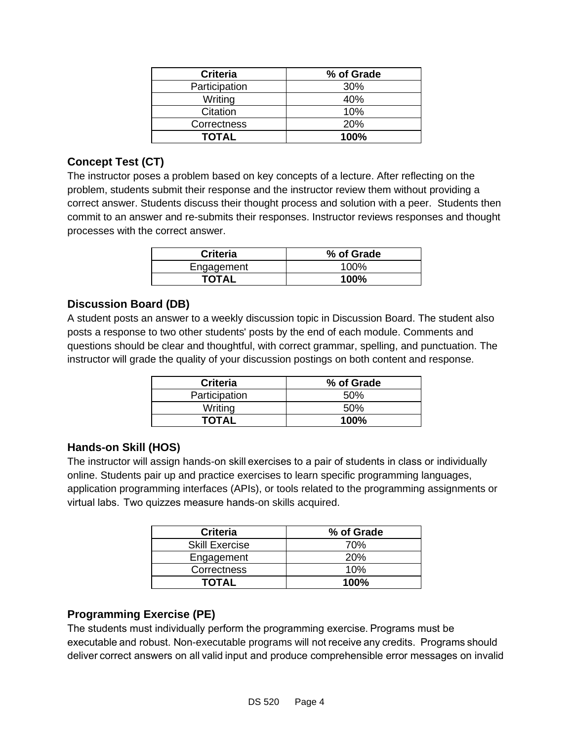| <b>Criteria</b> | % of Grade |
|-----------------|------------|
| Participation   | 30%        |
| Writing         | 40%        |
| Citation        | 10%        |
| Correctness     | 20%        |
| TOTAL           | 100%       |

### **Concept Test (CT)**

The instructor poses a problem based on key concepts of a lecture. After reflecting on the problem, students submit their response and the instructor review them without providing a correct answer. Students discuss their thought process and solution with a peer. Students then commit to an answer and re-submits their responses. Instructor reviews responses and thought processes with the correct answer.

| <b>Criteria</b> | % of Grade |
|-----------------|------------|
| Engagement      | 100%       |
| <b>TOTAL</b>    | 100%       |

#### **Discussion Board (DB)**

A student posts an answer to a weekly discussion topic in Discussion Board. The student also posts a response to two other students' posts by the end of each module. Comments and questions should be clear and thoughtful, with correct grammar, spelling, and punctuation. The instructor will grade the quality of your discussion postings on both content and response.

| <b>Criteria</b> | % of Grade |
|-----------------|------------|
| Participation   | .50%       |
| Writing         | .50%       |
| <b>TOTAL</b>    | 100%       |

#### **Hands-on Skill (HOS)**

The instructor will assign hands-on skill exercises to a pair of students in class or individually online. Students pair up and practice exercises to learn specific programming languages, application programming interfaces (APIs), or tools related to the programming assignments or virtual labs.  Two quizzes measure hands-on skills acquired.

| <b>Criteria</b>       | % of Grade |
|-----------------------|------------|
| <b>Skill Exercise</b> | 70%        |
| Engagement            | <b>20%</b> |
| Correctness           | 10%        |
| <b>TOTAL</b>          | $100\%$    |

#### **Programming Exercise (PE)**

The students must individually perform the programming exercise. Programs must be executable and robust. Non-executable programs will not receive any credits.  Programs should  deliver correct answers on all valid input and produce comprehensible error messages on invalid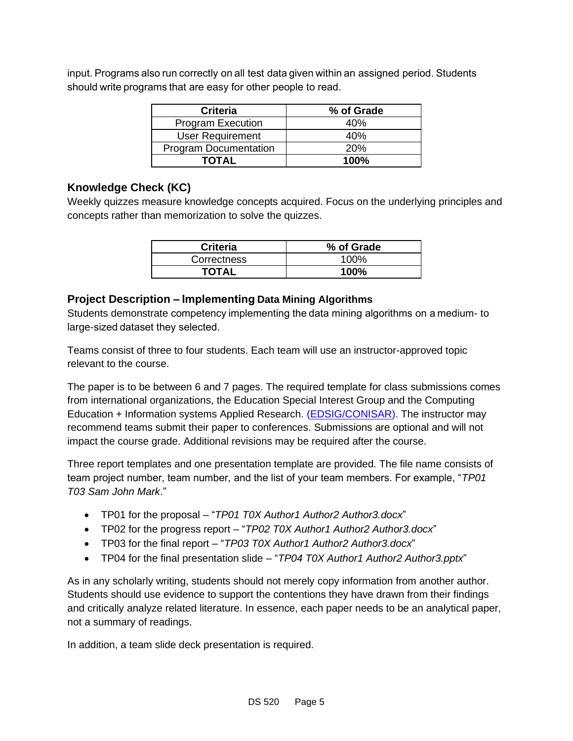input. Programs also run correctly on all test data given within an assigned period. Students should write programs that are easy for other people to read.  

| <b>Criteria</b>              | % of Grade |
|------------------------------|------------|
| <b>Program Execution</b>     | 40%        |
| <b>User Requirement</b>      | 40%        |
| <b>Program Documentation</b> | <b>20%</b> |
| <b>TOTAL</b>                 | $100\%$    |

#### **Knowledge Check (KC)**

Weekly quizzes measure knowledge concepts acquired. Focus on the underlying principles and concepts rather than memorization to solve the quizzes.

| <b>Criteria</b> | % of Grade |
|-----------------|------------|
| Correctness     | 100%       |
| <b>TOTAL</b>    | 100%       |

#### **Project Description – Implementing Data Mining Algorithms**

Students demonstrate competency implementing the data mining algorithms on a medium- to large-sized dataset they selected.

Teams consist of three to four students. Each team will use an instructor-approved topic relevant to the course.

The paper is to be between 6 and 7 pages. The required template for class submissions comes from international organizations, the Education Special Interest Group and the Computing Education + Information systems Applied Research. [\(EDSIG/CONISAR\)](https://iscap-edsig.org/edsigcon/#edsig_papers). The instructor may recommend teams submit their paper to conferences. Submissions are optional and will not impact the course grade. Additional revisions may be required after the course.

Three report templates and one presentation template are provided. The file name consists of team project number, team number, and the list of your team members. For example, "*TP01 T03 Sam John Mark*."

- TP01 for the proposal "*TP01 T0X Author1 Author2 Author3.docx*"
- TP02 for the progress report "*TP02 T0X Author1 Author2 Author3.docx*"
- TP03 for the final report "*TP03 T0X Author1 Author2 Author3.docx*"
- TP04 for the final presentation slide "*TP04 T0X Author1 Author2 Author3.pptx*"

As in any scholarly writing, students should not merely copy information from another author. Students should use evidence to support the contentions they have drawn from their findings and critically analyze related literature. In essence, each paper needs to be an analytical paper, not a summary of readings.

In addition, a team slide deck presentation is required.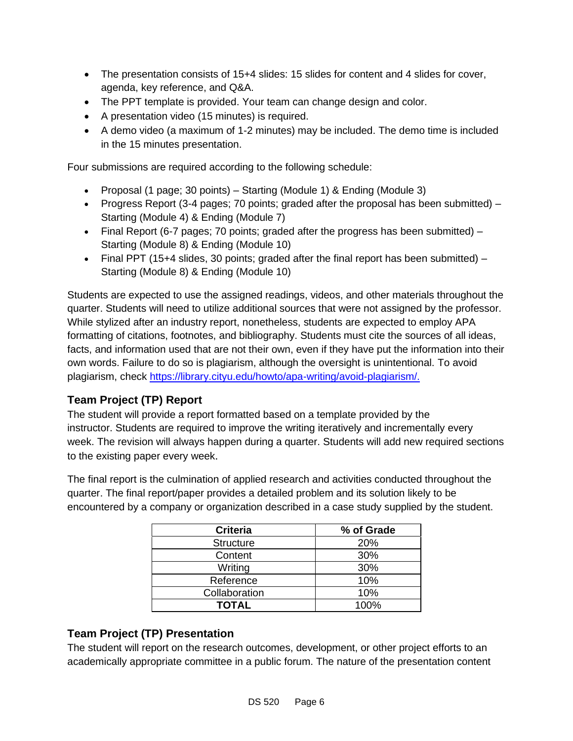- The presentation consists of 15+4 slides: 15 slides for content and 4 slides for cover, agenda, key reference, and Q&A.
- The PPT template is provided. Your team can change design and color.
- A presentation video (15 minutes) is required.
- A demo video (a maximum of 1-2 minutes) may be included. The demo time is included in the 15 minutes presentation.

Four submissions are required according to the following schedule:

- Proposal (1 page; 30 points) Starting (Module 1) & Ending (Module 3)
- Progress Report (3-4 pages; 70 points; graded after the proposal has been submitted)  $-$ Starting (Module 4) & Ending (Module 7)
- Final Report (6-7 pages; 70 points; graded after the progress has been submitted) Starting (Module 8) & Ending (Module 10)
- Final PPT (15+4 slides, 30 points; graded after the final report has been submitted)  $-$ Starting (Module 8) & Ending (Module 10)

Students are expected to use the assigned readings, videos, and other materials throughout the quarter. Students will need to utilize additional sources that were not assigned by the professor. While stylized after an industry report, nonetheless, students are expected to employ APA formatting of citations, footnotes, and bibliography. Students must cite the sources of all ideas, facts, and information used that are not their own, even if they have put the information into their own words. Failure to do so is plagiarism, although the oversight is unintentional. To avoid plagiarism, check [https://library.cityu.edu/howto/apa-writing/avoid-plagiarism/.](https://library.cityu.edu/howto/apa-writing/avoid-plagiarism/)

### **Team Project (TP) Report**

The student will provide a report formatted based on a template provided by the instructor. Students are required to improve the writing iteratively and incrementally every week. The revision will always happen during a quarter. Students will add new required sections to the existing paper every week.

The final report is the culmination of applied research and activities conducted throughout the quarter. The final report/paper provides a detailed problem and its solution likely to be encountered by a company or organization described in a case study supplied by the student.

| <b>Criteria</b>  | % of Grade |
|------------------|------------|
| <b>Structure</b> | 20%        |
| Content          | 30%        |
| Writing          | 30%        |
| Reference        | 10%        |
| Collaboration    | 10%        |
| <b>TOTAL</b>     | 100%       |

### **Team Project (TP) Presentation**

The student will report on the research outcomes, development, or other project efforts to an academically appropriate committee in a public forum. The nature of the presentation content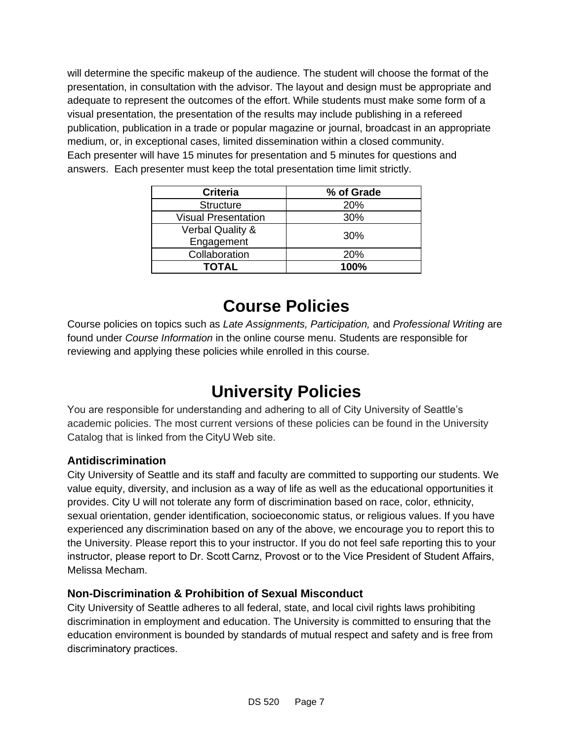will determine the specific makeup of the audience. The student will choose the format of the presentation, in consultation with the advisor. The layout and design must be appropriate and adequate to represent the outcomes of the effort. While students must make some form of a visual presentation, the presentation of the results may include publishing in a refereed publication, publication in a trade or popular magazine or journal, broadcast in an appropriate medium, or, in exceptional cases, limited dissemination within a closed community. Each presenter will have 15 minutes for presentation and 5 minutes for questions and answers. Each presenter must keep the total presentation time limit strictly.

| <b>Criteria</b>            | % of Grade |
|----------------------------|------------|
| <b>Structure</b>           | 20%        |
| <b>Visual Presentation</b> | 30%        |
| Verbal Quality &           | 30%        |
| Engagement                 |            |
| Collaboration              | <b>20%</b> |
| <b>TOTAL</b>               | 100%       |

# **Course Policies**

Course policies on topics such as *Late Assignments, Participation,* and *Professional Writing* are found under *Course Information* in the online course menu. Students are responsible for reviewing and applying these policies while enrolled in this course.

# **University Policies**

You are responsible for understanding and adhering to all of City University of Seattle's academic policies. The most current versions of these policies can be found in the University Catalog that is linked from the CityU Web site.   

### **Antidiscrimination**

City University of Seattle and its staff and faculty are committed to supporting our students. We value equity, diversity, and inclusion as a way of life as well as the educational opportunities it provides. City U will not tolerate any form of discrimination based on race, color, ethnicity, sexual orientation, gender identification, socioeconomic status, or religious values. If you have experienced any discrimination based on any of the above, we encourage you to report this to the University. Please report this to your instructor. If you do not feel safe reporting this to your instructor, please report to Dr. Scott Carnz, Provost or to the Vice President of Student Affairs, Melissa Mecham.

### **Non-Discrimination & Prohibition of Sexual Misconduct**

City University of Seattle adheres to all federal, state, and local civil rights laws prohibiting discrimination in employment and education. The University is committed to ensuring that the education environment is bounded by standards of mutual respect and safety and is free from discriminatory practices.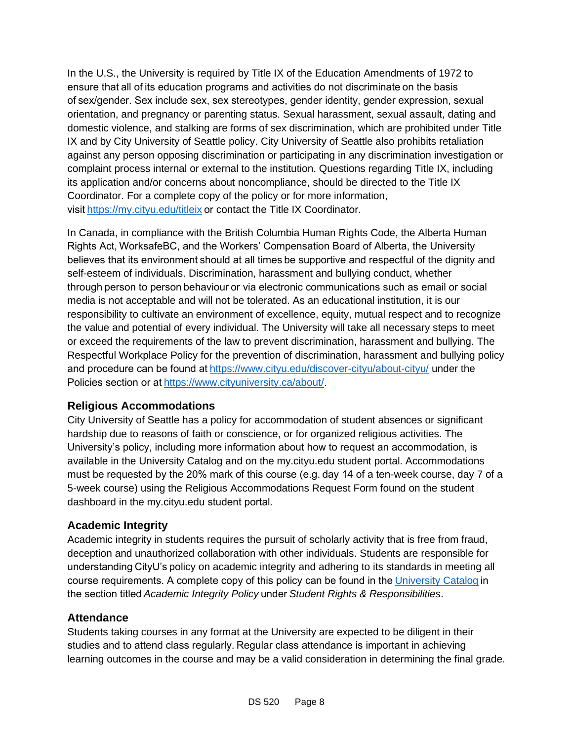In the U.S., the University is required by Title IX of the Education Amendments of 1972 to ensure that all of its education programs and activities do not discriminate on the basis of sex/gender. Sex include sex, sex stereotypes, gender identity, gender expression, sexual orientation, and pregnancy or parenting status. Sexual harassment, sexual assault, dating and domestic violence, and stalking are forms of sex discrimination, which are prohibited under Title IX and by City University of Seattle policy. City University of Seattle also prohibits retaliation against any person opposing discrimination or participating in any discrimination investigation or complaint process internal or external to the institution. Questions regarding Title IX, including its application and/or concerns about noncompliance, should be directed to the Title IX Coordinator. For a complete copy of the policy or for more information, visit[https://my.cityu.edu/titleix](https://nam11.safelinks.protection.outlook.com/?url=https%3A%2F%2Fmy.cityu.edu%2Ftitleix&data=04%7C01%7Cchungsam%40cityu.edu%7Ce83102e3b3cd44013e6f08d90c4e2657%7Cb3fa96d9f5154662add763d854e39e63%7C1%7C0%7C637554352062965197%7CUnknown%7CTWFpbGZsb3d8eyJWIjoiMC4wLjAwMDAiLCJQIjoiV2luMzIiLCJBTiI6Ik1haWwiLCJXVCI6Mn0%3D%7C1000&sdata=BZUraLgYrW9P67gVxk2kDRNYpVceksvqmTIkcba6seg%3D&reserved=0)or contact the Title IX Coordinator. 

In Canada, in compliance with the British Columbia Human Rights Code, the Alberta Human Rights Act, WorksafeBC, and the Workers' Compensation Board of Alberta, the University believes that its environment should at all times be supportive and respectful of the dignity and self-esteem of individuals. Discrimination, harassment and bullying conduct, whether through person to person behaviour or via electronic communications such as email or social media is not acceptable and will not be tolerated. As an educational institution, it is our responsibility to cultivate an environment of excellence, equity, mutual respect and to recognize the value and potential of every individual. The University will take all necessary steps to meet or exceed the requirements of the law to prevent discrimination, harassment and bullying. The Respectful Workplace Policy for the prevention of discrimination, harassment and bullying policy and procedure can be found at https://www.cityu.edu/discover-cityu/about-cityu/ under the Policies section or at[https://www.cityuniversity.ca/about/.](https://nam11.safelinks.protection.outlook.com/?url=https%3A%2F%2Fwww.cityuniversity.ca%2Fabout%2F&data=04%7C01%7Cchungsam%40cityu.edu%7Ce83102e3b3cd44013e6f08d90c4e2657%7Cb3fa96d9f5154662add763d854e39e63%7C1%7C0%7C637554352062975188%7CUnknown%7CTWFpbGZsb3d8eyJWIjoiMC4wLjAwMDAiLCJQIjoiV2luMzIiLCJBTiI6Ik1haWwiLCJXVCI6Mn0%3D%7C1000&sdata=5rEHqYmzK1MjEx1DKkfU6tsZrscg1nGHsTV43tadV8A%3D&reserved=0) 

#### **Religious Accommodations**

City University of Seattle has a policy for accommodation of student absences or significant hardship due to reasons of faith or conscience, or for organized religious activities. The University's policy, including more information about how to request an accommodation, is available in the University Catalog and on the my.cityu.edu student portal. Accommodations must be requested by the 20% mark of this course (e.g. day 14 of a ten-week course, day 7 of a 5-week course) using the Religious Accommodations Request Form found on the student dashboard in the my.cityu.edu student portal. 

### **Academic Integrity**

Academic integrity in students requires the pursuit of scholarly activity that is free from fraud, deception and unauthorized collaboration with other individuals. Students are responsible for understanding CityU's policy on academic integrity and adhering to its standards in meeting all course requirements. A complete copy of this policy can be found in the University Catalog in the section titled *Academic Integrity Policy* under *Student Rights & Responsibilities*. 

#### **Attendance**

Students taking courses in any format at the University are expected to be diligent in their studies and to attend class regularly. Regular class attendance is important in achieving learning outcomes in the course and may be a valid consideration in determining the final grade.